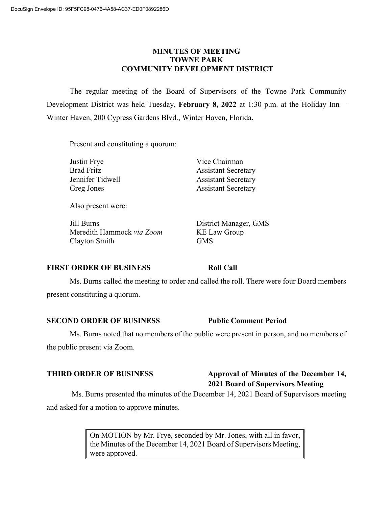## **MINUTES OF MEETING TOWNE PARK COMMUNITY DEVELOPMENT DISTRICT**

 The regular meeting of the Board of Supervisors of the Towne Park Community Development District was held Tuesday, **February 8, 2022** at 1:30 p.m. at the Holiday Inn – Winter Haven, 200 Cypress Gardens Blvd., Winter Haven, Florida.

Present and constituting a quorum:

| Justin Frye       | Vice Chairman              |
|-------------------|----------------------------|
| <b>Brad Fritz</b> | <b>Assistant Secretary</b> |
| Jennifer Tidwell  | <b>Assistant Secretary</b> |
| Greg Jones        | <b>Assistant Secretary</b> |
|                   |                            |

Also present were:

 Jill Burns District Manager, GMS Meredith Hammock *via Zoom* KE Law Group Clayton Smith GMS

# **FIRST ORDER OF BUSINESS Roll Call**

 Ms. Burns called the meeting to order and called the roll. There were four Board members present constituting a quorum.

**SECOND ORDER OF BUSINESS Public Comment Period** 

 Ms. Burns noted that no members of the public were present in person, and no members of the public present via Zoom.

# **THIRD ORDER OF BUSINESS Approval of Minutes of the December 14, 2021 Board of Supervisors Meeting**

Ms. Burns presented the minutes of the December 14, 2021 Board of Supervisors meeting and asked for a motion to approve minutes.

> On MOTION by Mr. Frye, seconded by Mr. Jones, with all in favor, the Minutes of the December 14, 2021 Board of Supervisors Meeting, were approved.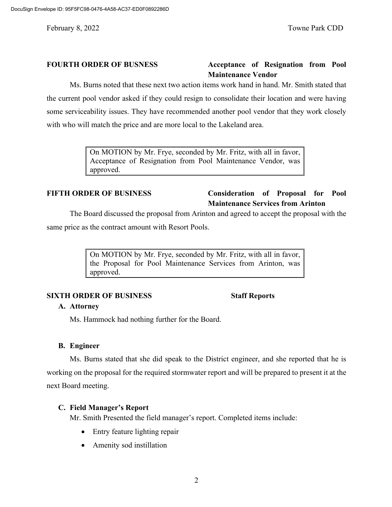# **FOURTH ORDER OF BUSNESS Acceptance of Resignation from Pool Maintenance Vendor**

 Ms. Burns noted that these next two action items work hand in hand. Mr. Smith stated that the current pool vendor asked if they could resign to consolidate their location and were having some serviceability issues. They have recommended another pool vendor that they work closely with who will match the price and are more local to the Lakeland area.

> On MOTION by Mr. Frye, seconded by Mr. Fritz, with all in favor, Acceptance of Resignation from Pool Maintenance Vendor, was approved.

# **FIFTH ORDER OF BUSINESS Consideration of Proposal for Pool Maintenance Services from Arinton**

 The Board discussed the proposal from Arinton and agreed to accept the proposal with the same price as the contract amount with Resort Pools.

> On MOTION by Mr. Frye, seconded by Mr. Fritz, with all in favor, the Proposal for Pool Maintenance Services from Arinton, was approved.

### **SIXTH ORDER OF BUSINESS** Staff Reports

### **A. Attorney**

Ms. Hammock had nothing further for the Board.

### **B. Engineer**

 Ms. Burns stated that she did speak to the District engineer, and she reported that he is working on the proposal for the required stormwater report and will be prepared to present it at the next Board meeting.

### **C. Field Manager's Report**

Mr. Smith Presented the field manager's report. Completed items include:

- Entry feature lighting repair
- Amenity sod instillation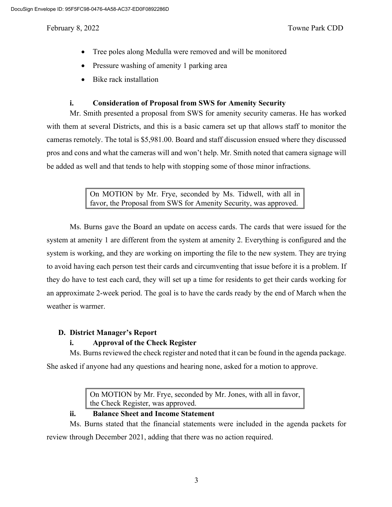- Tree poles along Medulla were removed and will be monitored
- Pressure washing of amenity 1 parking area
- Bike rack installation

### **i. Consideration of Proposal from SWS for Amenity Security**

 Mr. Smith presented a proposal from SWS for amenity security cameras. He has worked with them at several Districts, and this is a basic camera set up that allows staff to monitor the cameras remotely. The total is \$5,981.00. Board and staff discussion ensued where they discussed pros and cons and what the cameras will and won't help. Mr. Smith noted that camera signage will be added as well and that tends to help with stopping some of those minor infractions.

> On MOTION by Mr. Frye, seconded by Ms. Tidwell, with all in favor, the Proposal from SWS for Amenity Security, was approved.

 Ms. Burns gave the Board an update on access cards. The cards that were issued for the system at amenity 1 are different from the system at amenity 2. Everything is configured and the system is working, and they are working on importing the file to the new system. They are trying to avoid having each person test their cards and circumventing that issue before it is a problem. If they do have to test each card, they will set up a time for residents to get their cards working for an approximate 2-week period. The goal is to have the cards ready by the end of March when the weather is warmer.

### **D. District Manager's Report**

# **i. Approval of the Check Register**

Ms. Burns reviewed the check register and noted that it can be found in the agenda package.

She asked if anyone had any questions and hearing none, asked for a motion to approve.

On MOTION by Mr. Frye, seconded by Mr. Jones, with all in favor, the Check Register, was approved.

# **ii. Balance Sheet and Income Statement**

 Ms. Burns stated that the financial statements were included in the agenda packets for review through December 2021, adding that there was no action required.